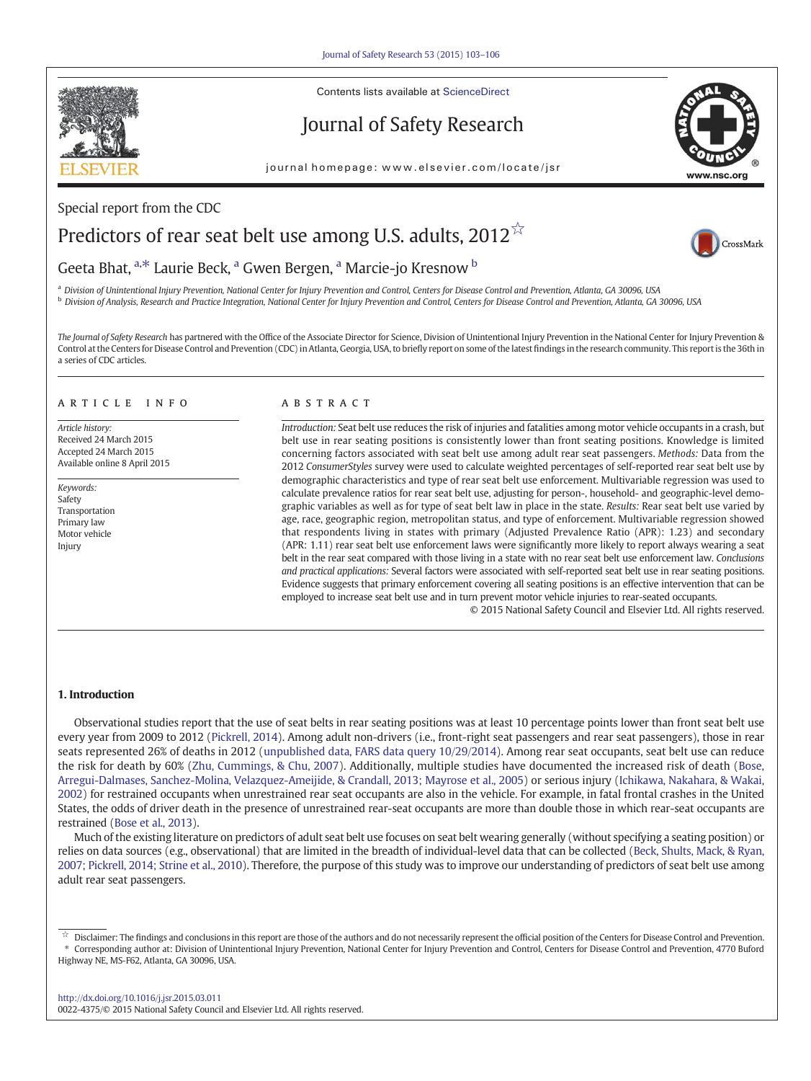

Contents lists available at ScienceDirect

# Journal of Safety Research

journal homepage: <www.elsevier.com/locate/jsr>

### Special report from the CDC

# Predictors of rear seat belt use among U.S. adults,  $2012^{\frac{1}{10}}$



www.nsc.org

## Geeta Bhat, <sup>a,\*</sup> Laurie Beck, <sup>a</sup> Gwen Bergen, <sup>a</sup> Marcie-jo Kresnow <sup>b</sup>

a Division of Unintentional Injury Prevention, National Center for Injury Prevention and Control, Centers for Disease Control and Prevention, Atlanta, GA 30096, USA

<sup>b</sup> Division of Analysis, Research and Practice Integration, National Center for Injury Prevention and Control, Centers for Disease Control and Prevention, Atlanta, GA 30096, USA

The Journal of Safety Research has partnered with the Office of the Associate Director for Science, Division of Unintentional Injury Prevention in the National Center for Injury Prevention & Control atthe Centers for Disease Control and Prevention (CDC) inAtlanta, Georgia, USA,to briefly report on some ofthe latest findings in the research community. This reportis the 36th in a series of CDC articles.

### article info abstract

Article history: Introduction: Seat belt use reduces the risk of injuries and fatalities among motor vehicle occupants in a crash, but Received 24 March 2015 belt use in rear seating positions is consistently lower than front seating positions. Knowledge is limited Accepted 24 March 2015 concerning factors associated with seat helt use among adult rear se Accepted 24 March 2015 concerning factors associated with seat belt use among adult rear seat passengers. *Methods:* Data from the Available online 8 April 2015 concerning factors associated with seat belt use anong adult 2012 ConsumerStyles survey were used to calculate weighted percentages of self-reported rear seat belt use by demographic characteristics and type of rear seat belt use enforcement. Multivariable regression was used to Reywords:<br>
Safety<br>
Calculate prevalence ratios for rear seat belt use, adjusting for person-, household- and geographic-level demo-<br>
Transportation<br>
Transportation age, race, geographic region, metropolitan status, and type of enforcement. Multivariable regression showed Primary law Motor vehicle that respondents living in states with primary (Adjusted Prevalence Ratio (APR): 1.23) and secondary Injury (APR: 1.11) rear seat belt use enforcement laws were significantly more likely to report always wearing a seat belt in the rear seat compared with those living in a state with no rear seat belt use enforcement law. Conclusions and practical applications: Several factors were associated with self-reported seat belt use in rear seating positions. Evidence suggests that primary enforcement covering all seating positions is an effective intervention that can be employed to increase seat belt use and in turn prevent motor vehicle injuries to rear-seated occupants.

© 2015 National Safety Council and Elsevier Ltd. All rights reserved.

#### 1. Introduction

Observational studies report that the use of seat belts in rear seating positions was at least 10 percentage points lower than front seat belt use every year from 2009 to 2012 [\(Pickrell,](#page-3-0) 2014). Among adult non-drivers (i.e., front-right seat passengers and rear seat passengers), those in rear seats represented 26% of deaths in 2012 ([unpublished](#page-3-0) data, FARS data query 10/29/2014). Among rear seat occupants, seat belt use can reduce the risk for death by 60% (Zhu, [Cummings,](#page-3-0) & Chu, 2007). Additionally, multiple studies have documented the increased risk of death ([Bose,](#page-3-0) Arregui-Dalmases, Sanchez-Molina, [Velazquez-Ameijide,](#page-3-0) & Crandall, 2013; Mayrose et al., 2005) or serious injury (Ichikawa, [Nakahara,](#page-3-0) & Wakai, [2002\)](#page-3-0) for restrained occupants when unrestrained rear seat occupants are also in the vehicle. For example, in fatal frontal crashes in the United States, the odds of driver death in the presence of unrestrained rear-seat occupants are more than double those in which rear-seat occupants are restrained (Bose et al., [2013](#page-3-0)).

Much of the existing literature on predictors of adult seat belt use focuses on seat belt wearing generally (without specifying a seating position) or relies on data sources (e.g., observational) that are limited in the breadth of individual-level data that can be collected (Beck, [Shults,](#page-3-0) Mack, & Ryan, 2007; [Pickrell,](#page-3-0) 2014; Strine et al., 2010). Therefore, the purpose of this study was to improve our understanding of predictors of seat belt use among adult rear seat passengers.

Disclaimer: The findings and conclusions in this report are those of the authors and do not necessarily represent the official position of the Centers for Disease Control and Prevention. ⁎ Corresponding author at: Division of Unintentional Injury Prevention, National Center for Injury Prevention and Control, Centers for Disease Control and Prevention, 4770 Buford Highway NE, MS-F62, Atlanta, GA 30096, USA.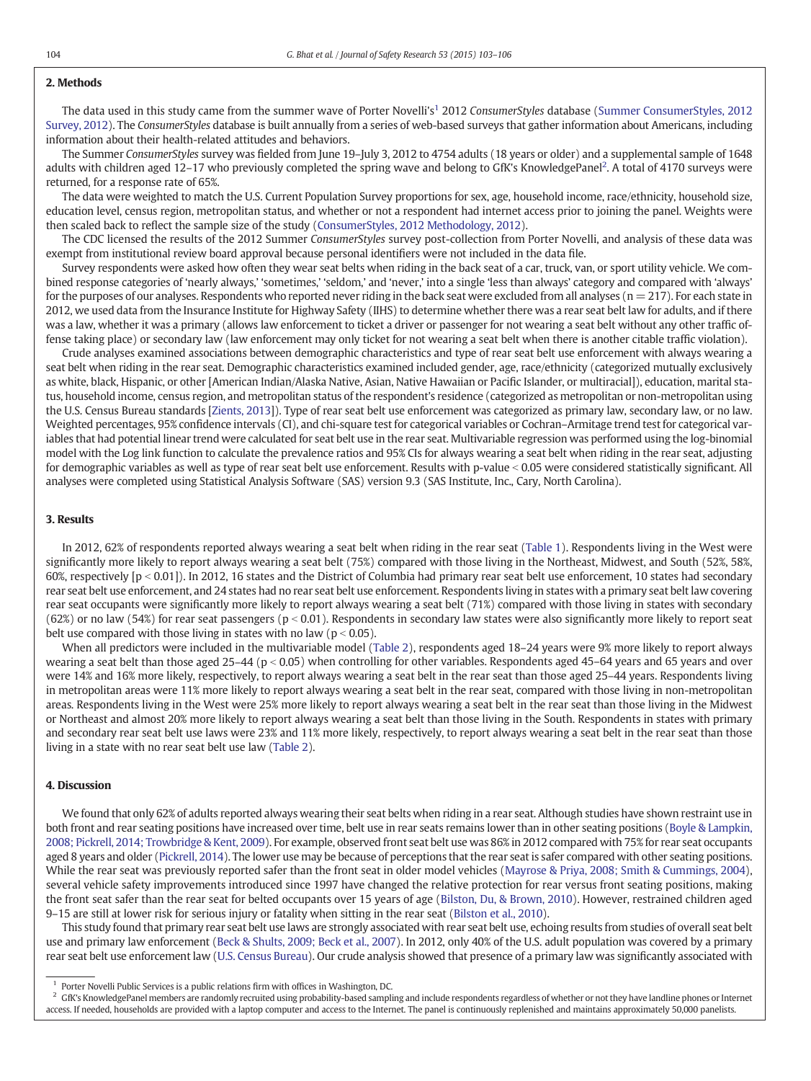The data used in this study came from the summer wave of Porter Novelli's<sup>1</sup> 2012 ConsumerStyles database (Summer [ConsumerStyles,](#page-3-0) 2012 [Survey,](#page-3-0) 2012). The ConsumerStyles database is built annually from a series of web-based surveys that gather information about Americans, including information about their health-related attitudes and behaviors.

The Summer ConsumerStyles survey was fielded from June 19–July 3, 2012 to 4754 adults (18 years or older) and a supplemental sample of 1648 adults with children aged 12-17 who previously completed the spring wave and belong to GfK's KnowledgePanel<sup>2</sup>. A total of 4170 surveys were returned, for a response rate of 65%.

The data were weighted to match the U.S. Current Population Survey proportions for sex, age, household income, race/ethnicity, household size, education level, census region, metropolitan status, and whether or not a respondent had internet access prior to joining the panel. Weights were then scaled back to reflect the sample size of the study [\(ConsumerStyles,](#page-3-0) 2012 Methodology, 2012).

The CDC licensed the results of the 2012 Summer ConsumerStyles survey post-collection from Porter Novelli, and analysis of these data was exempt from institutional review board approval because personal identifiers were not included in the data file.

Survey respondents were asked how often they wear seat belts when riding in the back seat of a car, truck, van, or sport utility vehicle. We combined response categories of 'nearly always,' 'sometimes,' 'seldom,' and 'never,' into a single 'less than always' category and compared with 'always' for the purposes of our analyses. Respondents who reported never riding in the back seat were excluded from all analyses ( $n = 217$ ). For each state in 2012, we used data from the Insurance Institute for Highway Safety (IIHS) to determine whether there was a rear seat belt law for adults, and if there was a law, whether it was a primary (allows law enforcement to ticket a driver or passenger for not wearing a seat belt without any other traffic offense taking place) or secondary law (law enforcement may only ticket for not wearing a seat belt when there is another citable traffic violation).

Crude analyses examined associations between demographic characteristics and type of rear seat belt use enforcement with always wearing a seat belt when riding in the rear seat. Demographic characteristics examined included gender, age, race/ethnicity (categorized mutually exclusively as white, black, Hispanic, or other [American Indian/Alaska Native, Asian, Native Hawaiian or Pacific Islander, or multiracial]), education, marital status, household income, census region, and metropolitan status of the respondent's residence (categorized as metropolitan or non-metropolitan using the U.S. Census Bureau standards [[Zients,](#page-3-0) 2013]). Type of rear seat belt use enforcement was categorized as primary law, secondary law, or no law. Weighted percentages, 95% confidence intervals (CI), and chi-square test for categorical variables or Cochran–Armitage trend test for categorical variables that had potential linear trend were calculated for seat belt use in the rear seat. Multivariable regression was performed using the log-binomial model with the Log link function to calculate the prevalence ratios and 95% CIs for always wearing a seat belt when riding in the rear seat, adjusting for demographic variables as well as type of rear seat belt use enforcement. Results with p-value < 0.05 were considered statistically significant. All analyses were completed using Statistical Analysis Software (SAS) version 9.3 (SAS Institute, Inc., Cary, North Carolina).

#### 3. Results

In 2012, 62% of respondents reported always wearing a seat belt when riding in the rear seat [\(Table](#page-2-0) 1). Respondents living in the West were significantly more likely to report always wearing a seat belt (75%) compared with those living in the Northeast, Midwest, and South (52%, 58%, 60%, respectively  $[p < 0.01]$ ). In 2012, 16 states and the District of Columbia had primary rear seat belt use enforcement, 10 states had secondary rear seat belt use enforcement, and 24 states had no rear seat belt use enforcement. Respondents living in states with a primary seat belt law covering rear seat occupants were significantly more likely to report always wearing a seat belt (71%) compared with those living in states with secondary (62%) or no law (54%) for rear seat passengers ( $p < 0.01$ ). Respondents in secondary law states were also significantly more likely to report seat belt use compared with those living in states with no law ( $p < 0.05$ ).

When all predictors were included in the multivariable model [\(Table](#page-3-0) 2), respondents aged 18–24 years were 9% more likely to report always wearing a seat belt than those aged 25–44 ( $p < 0.05$ ) when controlling for other variables. Respondents aged 45–64 years and 65 years and over were 14% and 16% more likely, respectively, to report always wearing a seat belt in the rear seat than those aged 25–44 years. Respondents living in metropolitan areas were 11% more likely to report always wearing a seat belt in the rear seat, compared with those living in non-metropolitan areas. Respondents living in the West were 25% more likely to report always wearing a seat belt in the rear seat than those living in the Midwest or Northeast and almost 20% more likely to report always wearing a seat belt than those living in the South. Respondents in states with primary and secondary rear seat belt use laws were 23% and 11% more likely, respectively, to report always wearing a seat belt in the rear seat than those living in a state with no rear seat belt use law ([Table](#page-3-0) 2).

#### 4. Discussion

We found that only 62% of adults reported always wearing their seat belts when riding in a rear seat. Although studies have shown restraint use in both front and rear seating positions have increased over time, belt use in rear seats remains lower than in other seating positions (Boyle & [Lampkin,](#page-3-0) 2008; Pickrell, 2014; [Trowbridge](#page-3-0) & Kent, 2009). For example, observed front seat belt use was 86% in 2012 compared with 75% for rear seat occupants aged 8 years and older ([Pickrell,](#page-3-0) 2014). The lower use may be because of perceptions that the rear seat is safer compared with other seating positions. While the rear seat was previously reported safer than the front seat in older model vehicles (Mayrose & Priya, 2008; Smith & [Cummings,](#page-3-0) 2004), several vehicle safety improvements introduced since 1997 have changed the relative protection for rear versus front seating positions, making the front seat safer than the rear seat for belted occupants over 15 years of age ([Bilston,](#page-3-0) Du, & Brown, 2010). However, restrained children aged 9–15 are still at lower risk for serious injury or fatality when sitting in the rear seat [\(Bilston](#page-3-0) et al., 2010).

This study found that primary rear seat belt use laws are strongly associated with rear seat belt use, echoing results from studies of overall seat belt use and primary law enforcement (Beck & [Shults,](#page-3-0) 2009; Beck et al., 2007). In 2012, only 40% of the U.S. adult population was covered by a primary rear seat belt use enforcement law (U.S. Census [Bureau\)](#page-3-0). Our crude analysis showed that presence of a primary law was significantly associated with

<sup>&</sup>lt;sup>1</sup> Porter Novelli Public Services is a public relations firm with offices in Washington, DC.

<sup>&</sup>lt;sup>2</sup> GfK's KnowledgePanel members are randomly recruited using probability-based sampling and include respondents regardless of whether or not they have landline phones or Internet access. If needed, households are provided with a laptop computer and access to the Internet. The panel is continuously replenished and maintains approximately 50,000 panelists.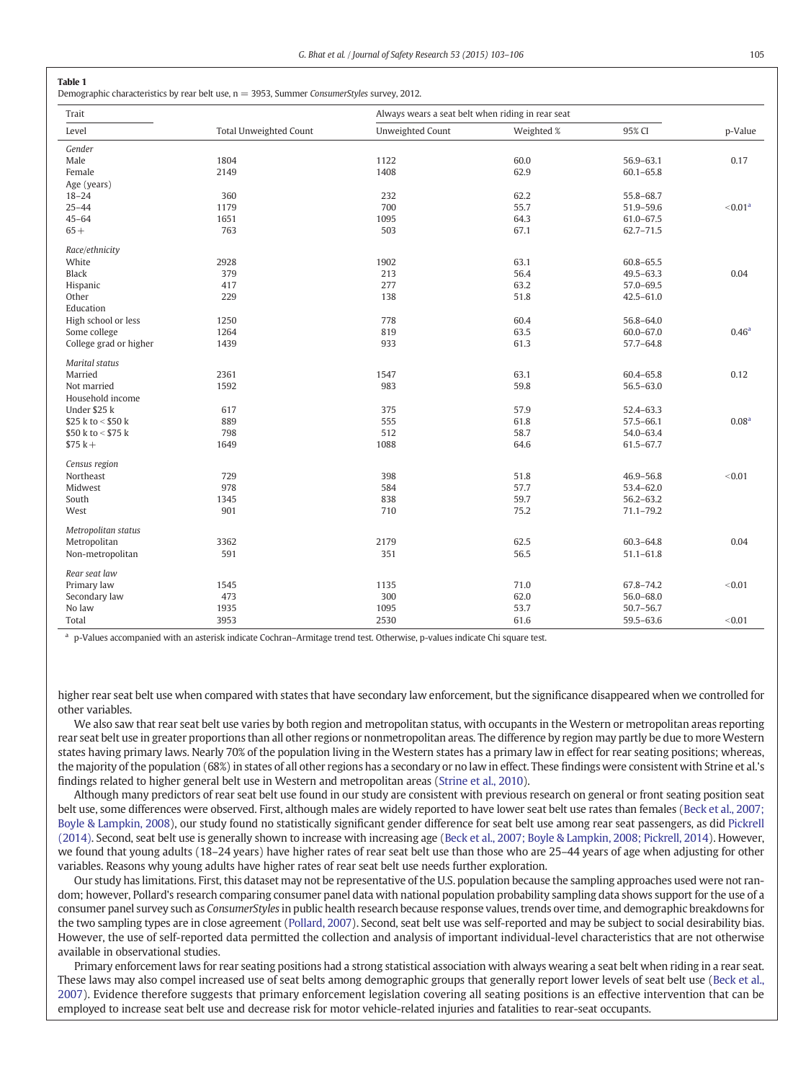### <span id="page-2-0"></span>Table 1

Demographic characteristics by rear belt use,  $n = 3953$ , Summer ConsumerStyles survey, 2012.

| Trait                  |                               | Always wears a seat belt when riding in rear seat |            |               |                     |
|------------------------|-------------------------------|---------------------------------------------------|------------|---------------|---------------------|
| Level                  | <b>Total Unweighted Count</b> | Unweighted Count                                  | Weighted % | 95% CI        | p-Value             |
| Gender                 |                               |                                                   |            |               |                     |
| Male                   | 1804                          | 1122                                              | 60.0       | $56.9 - 63.1$ | 0.17                |
| Female                 | 2149                          | 1408                                              | 62.9       | $60.1 - 65.8$ |                     |
| Age (years)            |                               |                                                   |            |               |                     |
| $18 - 24$              | 360                           | 232                                               | 62.2       | 55.8-68.7     |                     |
| $25 - 44$              | 1179                          | 700                                               | 55.7       | 51.9-59.6     | < 0.01 <sup>a</sup> |
| $45 - 64$              | 1651                          | 1095                                              | 64.3       | $61.0 - 67.5$ |                     |
| $65+$                  | 763                           | 503                                               | 67.1       | $62.7 - 71.5$ |                     |
| Race/ethnicity         |                               |                                                   |            |               |                     |
| White                  | 2928                          | 1902                                              | 63.1       | $60.8 - 65.5$ |                     |
| <b>Black</b>           | 379                           | 213                                               | 56.4       | $49.5 - 63.3$ | 0.04                |
| Hispanic               | 417                           | 277                                               | 63.2       | 57.0-69.5     |                     |
| Other                  | 229                           | 138                                               | 51.8       | $42.5 - 61.0$ |                     |
| Education              |                               |                                                   |            |               |                     |
| High school or less    | 1250                          | 778                                               | 60.4       | 56.8-64.0     |                     |
| Some college           | 1264                          | 819                                               | 63.5       | $60.0 - 67.0$ | 0.46 <sup>a</sup>   |
| College grad or higher | 1439                          | 933                                               | 61.3       | $57.7 - 64.8$ |                     |
| Marital status         |                               |                                                   |            |               |                     |
| Married                | 2361                          | 1547                                              | 63.1       | 60.4-65.8     | 0.12                |
| Not married            | 1592                          | 983                                               | 59.8       | $56.5 - 63.0$ |                     |
| Household income       |                               |                                                   |            |               |                     |
| Under \$25 k           | 617                           | 375                                               | 57.9       | 52.4-63.3     |                     |
| \$25 k to < \$50 k     | 889                           | 555                                               | 61.8       | 57.5-66.1     | 0.08 <sup>a</sup>   |
| \$50 k to $<$ \$75 k   | 798                           | 512                                               | 58.7       | 54.0-63.4     |                     |
| $$75 k+$               | 1649                          | 1088                                              | 64.6       | $61.5 - 67.7$ |                     |
| Census region          |                               |                                                   |            |               |                     |
| Northeast              | 729                           | 398                                               | 51.8       | 46.9-56.8     | < 0.01              |
| Midwest                | 978                           | 584                                               | 57.7       | 53.4-62.0     |                     |
| South                  | 1345                          | 838                                               | 59.7       | 56.2-63.2     |                     |
| West                   | 901                           | 710                                               | 75.2       | $71.1 - 79.2$ |                     |
| Metropolitan status    |                               |                                                   |            |               |                     |
| Metropolitan           | 3362                          | 2179                                              | 62.5       | 60.3-64.8     | 0.04                |
| Non-metropolitan       | 591                           | 351                                               | 56.5       | $51.1 - 61.8$ |                     |
| Rear seat law          |                               |                                                   |            |               |                     |
| Primary law            | 1545                          | 1135                                              | 71.0       | 67.8-74.2     | < 0.01              |
| Secondary law          | 473                           | 300                                               | 62.0       | 56.0-68.0     |                     |
| No law                 | 1935                          | 1095                                              | 53.7       | $50.7 - 56.7$ |                     |
| Total                  | 3953                          | 2530                                              | 61.6       | $59.5 - 63.6$ | < 0.01              |

<sup>a</sup> p-Values accompanied with an asterisk indicate Cochran–Armitage trend test. Otherwise, p-values indicate Chi square test.

higher rear seat belt use when compared with states that have secondary law enforcement, but the significance disappeared when we controlled for other variables.

We also saw that rear seat belt use varies by both region and metropolitan status, with occupants in the Western or metropolitan areas reporting rear seat belt use in greater proportions than all other regions or nonmetropolitan areas. The difference by region may partly be due to more Western states having primary laws. Nearly 70% of the population living in the Western states has a primary law in effect for rear seating positions; whereas, the majority of the population (68%) in states of all other regions has a secondary or no law in effect. These findings were consistent with Strine et al.'s findings related to higher general belt use in Western and metropolitan areas ([Strine](#page-3-0) et al., 2010).

Although many predictors of rear seat belt use found in our study are consistent with previous research on general or front seating position seat belt use, some differences were observed. First, although males are widely reported to have lower seat belt use rates than females (Beck et al., [2007;](#page-3-0) Boyle & [Lampkin,](#page-3-0) 2008), our study found no statistically significant gender difference for seat belt use among rear seat passengers, as did [Pickrell](#page-3-0) [\(2014\)](#page-3-0). Second, seat belt use is generally shown to increase with increasing age (Beck et al., 2007; Boyle & [Lampkin,](#page-3-0) 2008; Pickrell, 2014). However, we found that young adults (18–24 years) have higher rates of rear seat belt use than those who are 25–44 years of age when adjusting for other variables. Reasons why young adults have higher rates of rear seat belt use needs further exploration.

Our study has limitations. First, this dataset may not be representative of the U.S. population because the sampling approaches used were not random; however, Pollard's research comparing consumer panel data with national population probability sampling data shows support for the use of a consumer panel survey such as ConsumerStyles in public health research because response values,trends over time, and demographic breakdowns for the two sampling types are in close agreement [\(Pollard,](#page-3-0) 2007). Second, seat belt use was self-reported and may be subject to social desirability bias. However, the use of self-reported data permitted the collection and analysis of important individual-level characteristics that are not otherwise available in observational studies.

Primary enforcement laws for rear seating positions had a strong statistical association with always wearing a seat belt when riding in a rear seat. These laws may also compel increased use of seat belts among demographic groups that generally report lower levels of seat belt use ([Beck](#page-3-0) et al., [2007\)](#page-3-0). Evidence therefore suggests that primary enforcement legislation covering all seating positions is an effective intervention that can be employed to increase seat belt use and decrease risk for motor vehicle-related injuries and fatalities to rear-seat occupants.